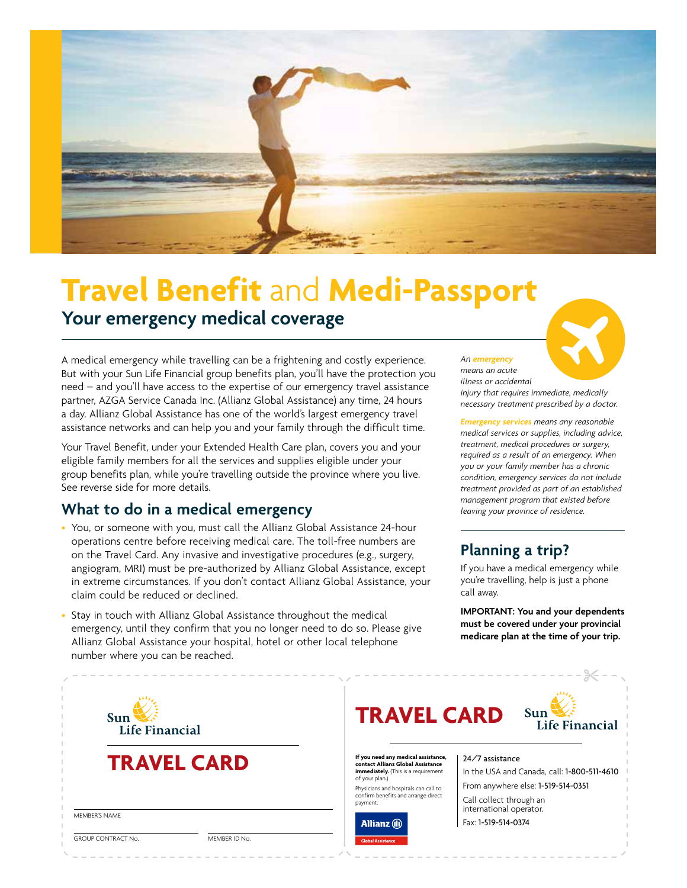

# **Travel Benefit** and **Medi-Passport**

## **Your emergency medical coverage**

A medical emergency while travelling can be a frightening and costly experience. But with your Sun Life Financial group benefits plan, you'll have the protection you need – and you'll have access to the expertise of our emergency travel assistance partner, AZGA Service Canada Inc. (Allianz Global Assistance) any time, 24 hours a day. Allianz Global Assistance has one of the world's largest emergency travel assistance networks and can help you and your family through the difficult time.

Your Travel Benefit, under your Extended Health Care plan, covers you and your eligible family members for all the services and supplies eligible under your group benefits plan, while you're travelling outside the province where you live. See reverse side for more details.

## **What to do in a medical emergency**

- You, or someone with you, must call the Allianz Global Assistance 24-hour operations centre before receiving medical care. The toll-free numbers are on the Travel Card. Any invasive and investigative procedures (e.g., surgery, angiogram, MRI) must be pre-authorized by Allianz Global Assistance, except in extreme circumstances. If you don't contact Allianz Global Assistance, your claim could be reduced or declined.
- Stay in touch with Allianz Global Assistance throughout the medical emergency, until they confirm that you no longer need to do so. Please give Allianz Global Assistance your hospital, hotel or other local telephone number where you can be reached.

#### *An emergency*

*means an acute illness or accidental injury that requires immediate, medically necessary treatment prescribed by a doctor.* 

*Emergency services means any reasonable medical services or supplies, including advice, treatment, medical procedures or surgery, required as a result of an emergency. When you or your family member has a chronic condition, emergency services do not include treatment provided as part of an established management program that existed before leaving your province of residence.*

## **Planning a trip?**

If you have a medical emergency while you're travelling, help is just a phone call away.

**IMPORTANT: You and your dependents must be covered under your provincial medicare plan at the time of your trip.**

| Sun<br>Life Financial                                       | <b>TRAVEL CARD</b>                                                                                                                                                                                                      | Sun<br>Life Financial                                                                                |
|-------------------------------------------------------------|-------------------------------------------------------------------------------------------------------------------------------------------------------------------------------------------------------------------------|------------------------------------------------------------------------------------------------------|
| <b>TRAVEL CARD</b>                                          | If you need any medical assistance,<br>contact Allianz Global Assistance<br><b>immediately.</b> (This is a requirement<br>of your plan.)<br>Physicians and hospitals can call to<br>confirm benefits and arrange direct | 24/7 assistance<br>In the USA and Canada, call: 1-800-511-4610<br>From anywhere else: 1-519-514-0351 |
| MEMBER'S NAME<br><b>GROUP CONTRACT No.</b><br>MEMBER ID No. | payment.<br><b>Allianz</b> (iii)<br><b>Global Assistance</b>                                                                                                                                                            | Call collect through an<br>international operator.<br>Fax: 1-519-514-0374                            |